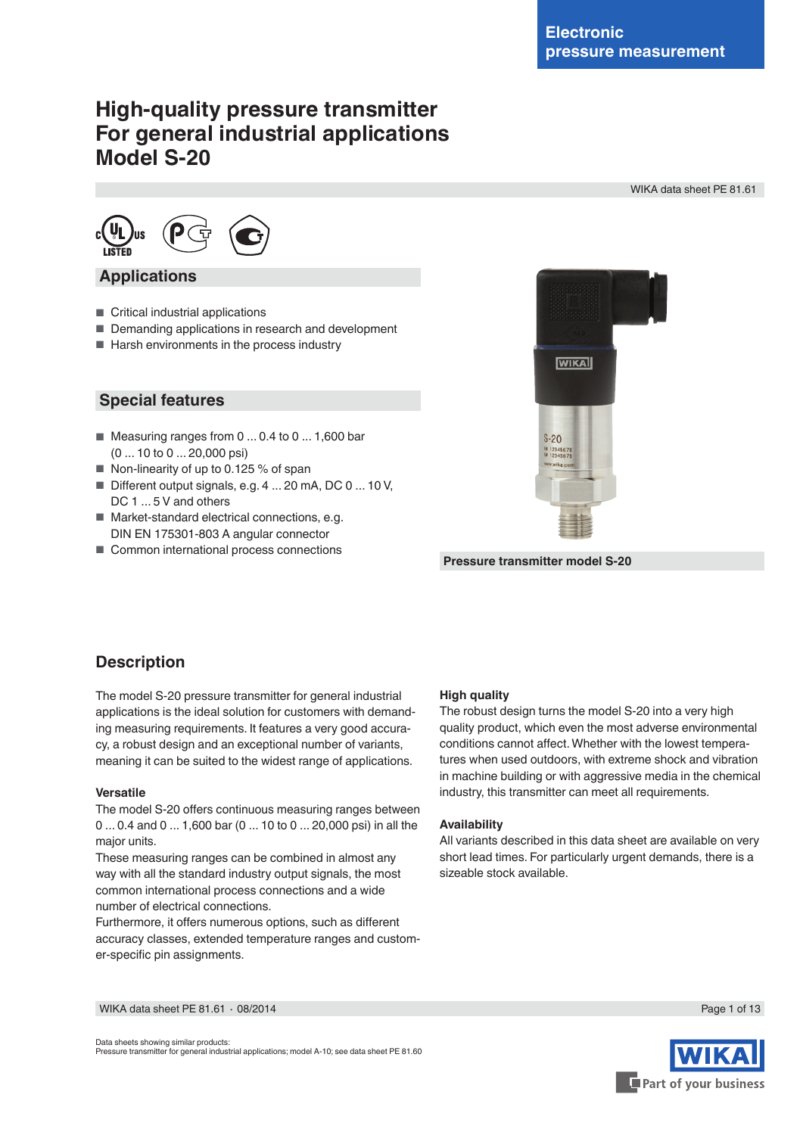WIKA data sheet PE 81.61

# **High-quality pressure transmitter For general industrial applications Model S-20**



### **Applications**

- Critical industrial applications
- Demanding applications in research and development
- Harsh environments in the process industry

### **Special features**

- Measuring ranges from 0 ... 0.4 to 0 ... 1,600 bar (0 ... 10 to 0 ... 20,000 psi)
- Non-linearity of up to 0.125 % of span
- Different output signals, e.g. 4 ... 20 mA, DC 0 ... 10 V, DC 1 ... 5 V and others
- Market-standard electrical connections, e.g. DIN EN 175301-803 A angular connector
- Common international process connections



**Pressure transmitter model S-20**

### **Description**

The model S-20 pressure transmitter for general industrial applications is the ideal solution for customers with demanding measuring requirements. It features a very good accuracy, a robust design and an exceptional number of variants, meaning it can be suited to the widest range of applications.

#### **Versatile**

The model S-20 offers continuous measuring ranges between 0 ... 0.4 and 0 ... 1,600 bar (0 ... 10 to 0 ... 20,000 psi) in all the major units.

These measuring ranges can be combined in almost any way with all the standard industry output signals, the most common international process connections and a wide number of electrical connections.

Furthermore, it offers numerous options, such as different accuracy classes, extended temperature ranges and customer-specific pin assignments.

### **High quality**

The robust design turns the model S-20 into a very high quality product, which even the most adverse environmental conditions cannot affect. Whether with the lowest temperatures when used outdoors, with extreme shock and vibration in machine building or with aggressive media in the chemical industry, this transmitter can meet all requirements.

#### **Availability**

All variants described in this data sheet are available on very short lead times. For particularly urgent demands, there is a sizeable stock available.

WIKA data sheet PE 81.61 ⋅ 08/2014 Page 1 of 13

Data sheets showing similar products: Pressure transmitter for general industrial applications; model A-10; see data sheet PE 81.60



Part of your business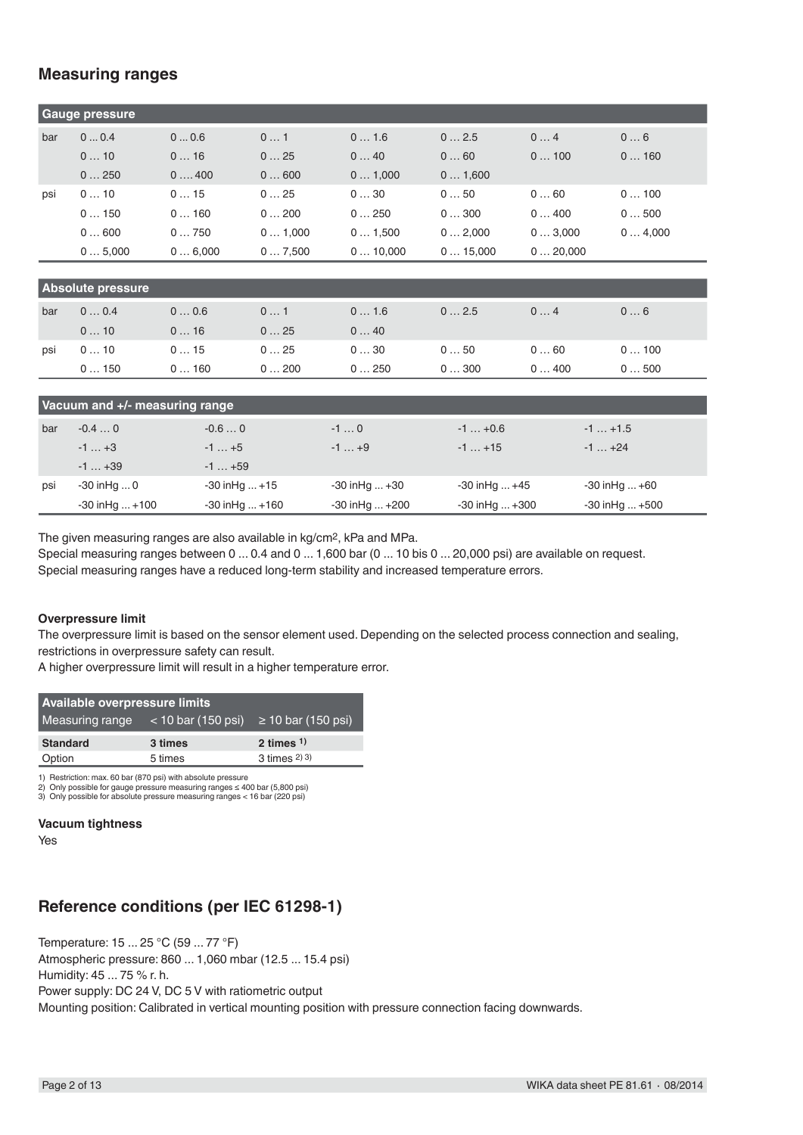### **Measuring ranges**

|     | <b>Gauge pressure</b> |                  |        |         |         |         |        |
|-----|-----------------------|------------------|--------|---------|---------|---------|--------|
| bar | 00.4                  | 00.6             | 01     | 016     | 02.5    | 04      | 06     |
|     | 010                   | 016              | 025    | 040     | 060     | 0100    | 0160   |
|     | 0250                  | $0, \ldots, 400$ | 0600   | 01,000  | 01,600  |         |        |
| psi | 010                   | 015              | 025    | 030     | 050     | 060     | 0100   |
|     | 0150                  | 0160             | 0200   | 0250    | 0300    | 0400    | 0500   |
|     | 0600                  | 0750             | 01,000 | 01,500  | 02,000  | 03,000  | 04,000 |
|     | 05,000                | 06,000           | 07,500 | 010,000 | 015,000 | 020,000 |        |
|     |                       |                  |        |         |         |         |        |

|     | <b>Absolute pressure</b> |      |      |      |      |      |      |
|-----|--------------------------|------|------|------|------|------|------|
| bar | 00.4                     | 00.6 | 01   | 01.6 | 02.5 | 04   | 06   |
|     | 010                      | 016  | 025  | 040  |      |      |      |
| psi | 010                      | 015  | 025  | 030  | 050  | 060  | 0100 |
|     | 0150                     | 0160 | 0200 | 0250 | 0300 | 0400 | 0500 |

| Vacuum and +/- measuring range |                      |                      |                      |                      |                     |  |  |
|--------------------------------|----------------------|----------------------|----------------------|----------------------|---------------------|--|--|
| bar                            | $-0.40$              | $-0.60$              | $-10$                | $-1+0.6$             | $-1+1.5$            |  |  |
|                                | $-1$ $+3$            | $-1+5$               | $-1$ $+9$            | $-1+15$              | $-1$ $+24$          |  |  |
|                                | $-1$ $+39$           | $-1$ $+59$           |                      |                      |                     |  |  |
| psi                            | -30 inHg  0          | $-30$ in Hg $+15$    | $-30$ in Hg $ + 30$  | $-30$ in Hg $+45$    | $-30$ in Hg $ +60$  |  |  |
|                                | $-30$ in Hg $ + 100$ | $-30$ in Hg $ + 160$ | $-30$ in Hg $ + 200$ | $-30$ in Hg $ + 300$ | $-30$ in Hg $ +500$ |  |  |

The given measuring ranges are also available in kg/cm2, kPa and MPa.

Special measuring ranges between 0 ... 0.4 and 0 ... 1,600 bar (0 ... 10 bis 0 ... 20,000 psi) are available on request. Special measuring ranges have a reduced long-term stability and increased temperature errors.

### **Overpressure limit**

The overpressure limit is based on the sensor element used. Depending on the selected process connection and sealing, restrictions in overpressure safety can result.

A higher overpressure limit will result in a higher temperature error.

| Available overpressure limits                                   |         |                 |  |  |  |
|-----------------------------------------------------------------|---------|-----------------|--|--|--|
| Measuring range $\leq 10$ bar (150 psi) $\geq 10$ bar (150 psi) |         |                 |  |  |  |
| <b>Standard</b>                                                 | 3 times | 2 times $1$ )   |  |  |  |
| Option                                                          | 5 times | $3 \times 2$ 3) |  |  |  |

1) Restriction: max. 60 bar (870 psi) with absolute pressure

2) Only possible for gauge pressure measuring ranges ≤ 400 bar (5,800 psi) 3) Only possible for absolute pressure measuring ranges < 16 bar (220 psi)

#### **Vacuum tightness**

Yes

# **Reference conditions (per IEC 61298-1)**

Temperature: 15 ... 25 °C (59 ... 77 °F)

Atmospheric pressure: 860 ... 1,060 mbar (12.5 ... 15.4 psi)

Humidity: 45 ... 75 % r. h.

Power supply: DC 24 V, DC 5 V with ratiometric output

Mounting position: Calibrated in vertical mounting position with pressure connection facing downwards.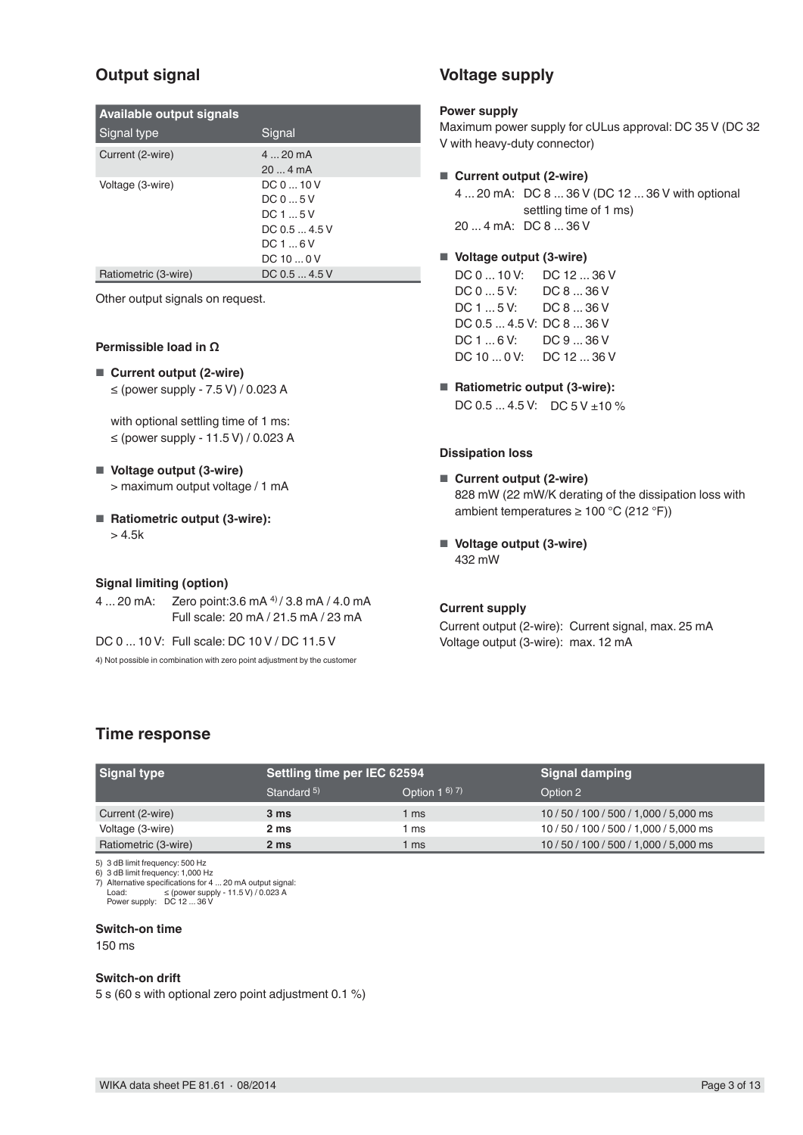# **Output signal**

| <b>Available output signals</b> |                                                                  |  |  |  |
|---------------------------------|------------------------------------------------------------------|--|--|--|
| Signal type                     | Signal                                                           |  |  |  |
| Current (2-wire)                | $4 \dots 20$ mA<br>$20 - 4 \text{ mA}$                           |  |  |  |
| Voltage (3-wire)                | DC010V<br>DC05V<br>DC15V<br>DC 0.5  4.5 V<br>DC16V<br>DC 10  0 V |  |  |  |
| Ratiometric (3-wire)            | DC 0.5  4.5 V                                                    |  |  |  |

Other output signals on request.

### **Permissible load in Ω**

■ **Current output (2-wire)**

≤ (power supply - 7.5 V) / 0.023 A

with optional settling time of 1 ms: ≤ (power supply - 11.5 V) / 0.023 A

- **Voltage output (3-wire)** > maximum output voltage / 1 mA
- **Ratiometric output (3-wire):** > 4.5k

### **Signal limiting (option)**

4 ... 20 mA: Zero point:3.6 mA <sup>4)</sup> / 3.8 mA / 4.0 mA Full scale: 20 mA / 21.5 mA / 23 mA

DC 0 ... 10 V: Full scale: DC 10 V / DC 11.5 V

4) Not possible in combination with zero point adjustment by the customer

### **Voltage supply**

### **Power supply**

Maximum power supply for cULus approval: DC 35 V (DC 32 V with heavy-duty connector)

### ■ **Current output (2-wire)**

4 ... 20 mA: DC 8 ... 36 V (DC 12 ... 36 V with optional settling time of 1 ms) 20 ... 4 mA: DC 8 ... 36 V

### ■ **Voltage output (3-wire)**

DC 0 ... 10 V: DC 12 ... 36 V DC 0 ... 5 V: DC 8 ... 36 V DC 1 ... 5 V: DC 8 ... 36 V DC 0.5 ... 4.5 V: DC 8 ... 36 V DC 1 ... 6 V: DC 9 ... 36 V DC 10 ... 0 V: DC 12 ... 36 V

■ **Ratiometric output (3-wire):**

DC  $0.5$  ... 4.5 V: DC  $5$  V + 10 %

### **Dissipation loss**

- **Current output (2-wire)** 828 mW (22 mW/K derating of the dissipation loss with ambient temperatures ≥ 100 °C (212 °F))
- **Voltage output (3-wire)** 432 mW

### **Current supply**

Current output (2-wire): Current signal, max. 25 mA Voltage output (3-wire): max. 12 mA

### **Time response**

| Signal type          | Settling time per IEC 62594 |                   | <b>Signal damping</b>                  |
|----------------------|-----------------------------|-------------------|----------------------------------------|
|                      | Standard <sup>5)</sup>      | Option $1^{6}$ 7) | Option 2                               |
| Current (2-wire)     | 3 ms                        | ms                | 10 / 50 / 100 / 500 / 1,000 / 5,000 ms |
| Voltage (3-wire)     | 2 ms                        | ms                | 10 / 50 / 100 / 500 / 1,000 / 5,000 ms |
| Ratiometric (3-wire) | 2 ms                        | ms                | 10 / 50 / 100 / 500 / 1,000 / 5,000 ms |

5) 3 dB limit frequency: 500 Hz

6) 3 dB limit frequency: 1,000 Hz 7) Alternative specifications for 4 ... 20 mA output signal:

Load: ≤ (power supply - 11.5 V) / 0.023 A Power supply: DC 12 ... 36 V

**Switch-on time**

150 ms

#### **Switch-on drift**

5 s (60 s with optional zero point adjustment 0.1 %)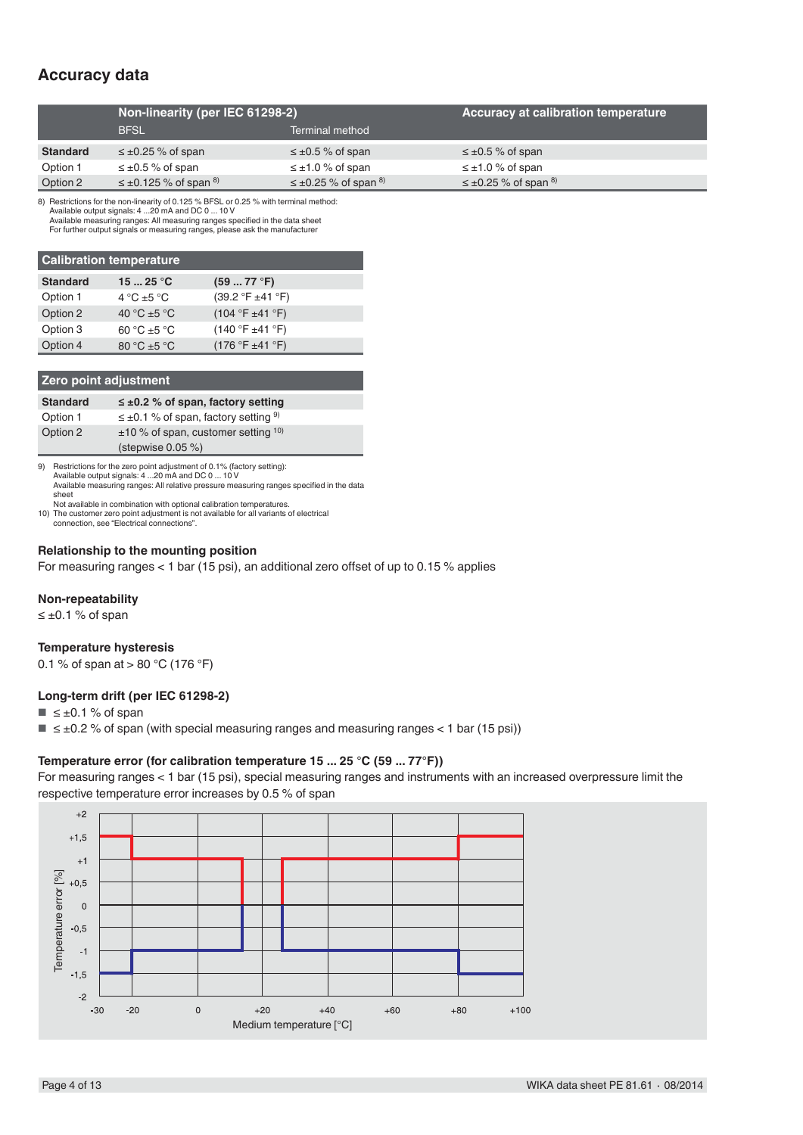### **Accuracy data**

|                 | Non-linearity (per IEC 61298-2)   |                                   | Accuracy at calibration temperature |
|-----------------|-----------------------------------|-----------------------------------|-------------------------------------|
|                 | <b>BFSL</b>                       | <b>Terminal method</b>            |                                     |
| <b>Standard</b> | $\leq \pm 0.25$ % of span         | $\leq \pm 0.5$ % of span          | $\leq \pm 0.5$ % of span            |
| Option 1        | $\leq \pm 0.5$ % of span          | $\leq \pm 1.0$ % of span          | $\leq \pm 1.0$ % of span            |
| Option 2        | $\leq \pm 0.125$ % of span $^{8}$ | $\leq \pm 0.25$ % of span $^{8)}$ | $\leq \pm 0.25$ % of span $^{8}$    |

8) Restrictions for the non-linearity of 0.125 % BFSL or 0.25 % with terminal method:

Available output signals: 4 ...20 mA and DC 0 ... 10 V Available measuring ranges: All measuring ranges specified in the data sheet

For further output signals or measuring ranges, please ask the manufacturer

| <b>Calibration temperature</b> |                  |                  |  |  |  |
|--------------------------------|------------------|------------------|--|--|--|
| <b>Standard</b>                | 1525 °C          | (5977 °F)        |  |  |  |
| Option 1                       | 4 °C $\pm$ 5 °C  | (39.2 °F ±41 °F) |  |  |  |
| Option 2                       | 40 °C $\pm$ 5 °C | (104 °F ± 41 °F) |  |  |  |
| Option 3                       | 60 °C $\pm$ 5 °C | (140 °F ± 41 °F) |  |  |  |
| Option 4                       | 80 °C $\pm$ 5 °C | (176 °F ± 41 °F) |  |  |  |

#### **Zero point adjustment**

| <b>Standard</b> | $\leq \pm 0.2$ % of span, factory setting               |
|-----------------|---------------------------------------------------------|
| Option 1        | $\leq \pm 0.1$ % of span, factory setting <sup>9)</sup> |
| Option 2        | $\pm$ 10 % of span, customer setting $^{10}$            |
|                 | (stepwise $0.05\%$ )                                    |

9) Restrictions for the zero point adjustment of 0.1% (factory setting): Available output signals: 4 ...20 mA and DC 0 ... 10 V Available measuring ranges: All relative pressure measuring ranges specified in the data sheet

Not available in combination with optional calibration temperatures.

10) The customer zero point adjustment is not available for all variants of electrical connection, see "Electrical connections".

#### **Relationship to the mounting position**

For measuring ranges  $<$  1 bar (15 psi), an additional zero offset of up to 0.15 % applies

#### **Non-repeatability**

≤ ±0.1 % of span

#### **Temperature hysteresis**

0.1 % of span at  $> 80 °C$  (176 °F)

#### **Long-term drift (per IEC 61298-2)**

- $\blacksquare$   $\leq \pm 0.1$  % of span
- $\blacksquare \le \pm 0.2$  % of span (with special measuring ranges and measuring ranges < 1 bar (15 psi))

#### **Temperature error (for calibration temperature 15 ... 25 °C (59 ... 77°F))**

For measuring ranges < 1 bar (15 psi), special measuring ranges and instruments with an increased overpressure limit the respective temperature error increases by 0.5 % of span

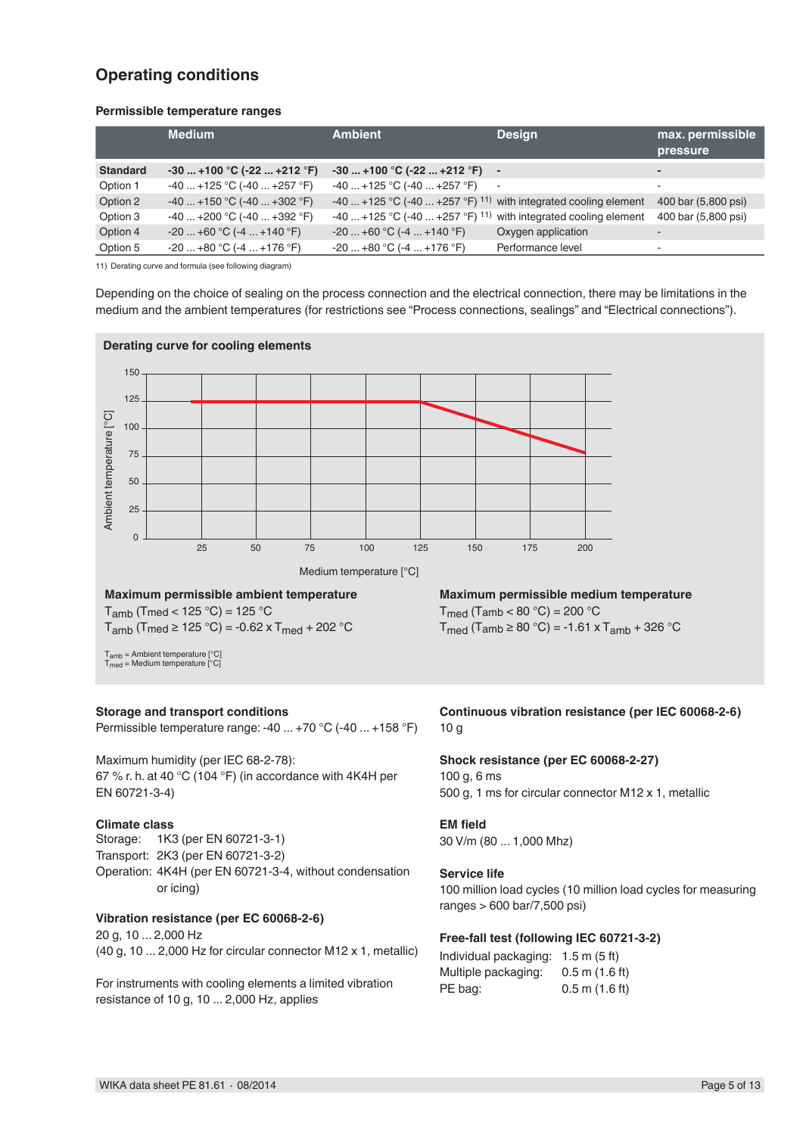### **Operating conditions**

### **Permissible temperature ranges**

|                 | <b>Medium</b>                | <b>Ambient</b>                                                              | <b>Design</b>      | max. permissible<br>pressure |
|-----------------|------------------------------|-----------------------------------------------------------------------------|--------------------|------------------------------|
| <b>Standard</b> | $-30$ +100 °C (-22  +212 °F) | $-30$ +100 °C (-22  +212 °F) -                                              |                    |                              |
| Option 1        | $-40$ +125 °C (-40  +257 °F) | $-40+125$ °C (-40  +257 °F) -                                               |                    |                              |
| Option 2        | $-40$ +150 °C (-40  +302 °F) | -40  +125 °C (-40  +257 °F) <sup>11</sup> ) with integrated cooling element |                    | 400 bar (5,800 psi)          |
| Option 3        | $-40+200$ °C ( $-40+392$ °F) | -40  +125 °C (-40  +257 °F) <sup>11)</sup> with integrated cooling element  |                    | 400 bar (5,800 psi)          |
| Option 4        | $-20+60$ °C (-4  +140 °F)    | $-20+60$ °C (-4  +140 °F)                                                   | Oxygen application |                              |
| Option 5        | $-20+80$ °C (-4  +176 °F)    | $-20+80$ °C (-4  +176 °F)                                                   | Performance level  |                              |

11) Derating curve and formula (see following diagram)

Depending on the choice of sealing on the process connection and the electrical connection, there may be limitations in the medium and the ambient temperatures (for restrictions see "Process connections, sealings" and "Electrical connections").



 $T_{amb}$  (Tmed < 125 °C) = 125 °C  $T_{amb}$  (Tmed ≥ 125 °C) = -0.62 x  $T_{med}$  + 202 °C

Tamb = Ambient temperature [°C] Tmed = Medium temperature [°C]

### **Storage and transport conditions**

Permissible temperature range: -40 ... +70 °C (-40 ... +158 °F)

Maximum humidity (per IEC 68-2-78): 67 % r. h. at 40 °C (104 °F) (in accordance with 4K4H per EN 60721-3-4)

# **Climate class**<br>Storage: 1K3

1K3 (per EN 60721-3-1) Transport: 2K3 (per EN 60721-3-2) Operation: 4K4H (per EN 60721-3-4, without condensation or icing)

### **Vibration resistance (per EC 60068-2-6)**

20 g, 10 ... 2,000 Hz (40 g, 10 ... 2,000 Hz for circular connector M12 x 1, metallic)

For instruments with cooling elements a limited vibration resistance of 10 g, 10 ... 2,000 Hz, applies

**Maximum permissible medium temperature**  $T_{\text{med}}$  (Tamb < 80 °C) = 200 °C  $T_{\text{med}}$  (Tamb ≥ 80 °C) = -1.61 x T<sub>amb</sub> + 326 °C

**Continuous vibration resistance (per IEC 60068-2-6)** 10 g

# **Shock resistance (per EC 60068-2-27)**

100 g, 6 ms 500 g, 1 ms for circular connector M12 x 1, metallic

### **EM field**

30 V/m (80 ... 1,000 Mhz)

### **Service life**

100 million load cycles (10 million load cycles for measuring ranges > 600 bar/7,500 psi)

### **Free-fall test (following IEC 60721-3-2)**

Individual packaging: 1.5 m (5 ft) Multiple packaging: 0.5 m (1.6 ft) PE bag: 0.5 m (1.6 ft)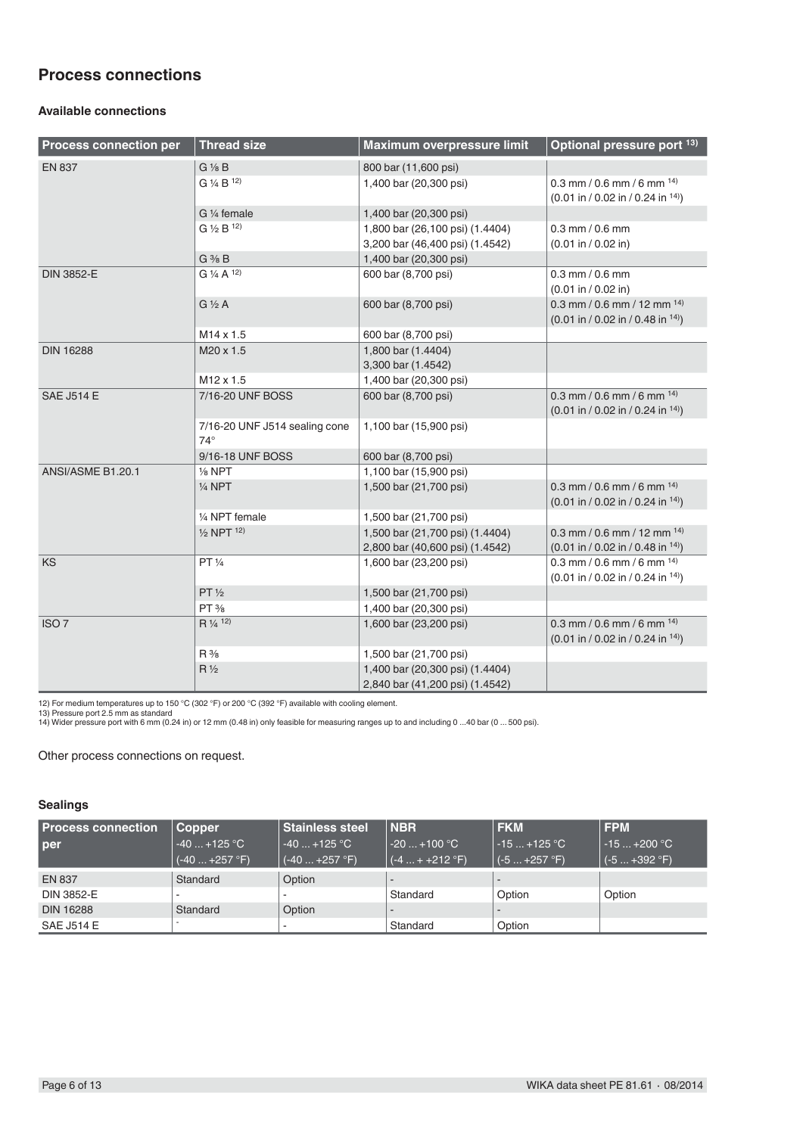### **Process connections**

### **Available connections**

| <b>Process connection per</b> | <b>Thread size</b>                          | <b>Maximum overpressure limit</b>                                  | Optional pressure port 13)                                                                             |
|-------------------------------|---------------------------------------------|--------------------------------------------------------------------|--------------------------------------------------------------------------------------------------------|
| <b>EN 837</b>                 | $G\frac{1}{8}B$                             | 800 bar (11,600 psi)                                               |                                                                                                        |
|                               | G 1/4 B 12)                                 | 1,400 bar (20,300 psi)                                             | $0.3$ mm / 0.6 mm / 6 mm $^{14}$<br>$(0.01 \text{ in} / 0.02 \text{ in} / 0.24 \text{ in}^{14})$       |
|                               | G 1/4 female                                | 1,400 bar (20,300 psi)                                             |                                                                                                        |
|                               | $G\frac{1}{2}B$ <sup>12)</sup>              | 1,800 bar (26,100 psi) (1.4404)<br>3,200 bar (46,400 psi) (1.4542) | $0.3$ mm $/ 0.6$ mm<br>$(0.01 \text{ in} / 0.02 \text{ in})$                                           |
|                               | $G \frac{3}{8} B$                           | 1,400 bar (20,300 psi)                                             |                                                                                                        |
| DIN 3852-E                    | G 1/4 A 12)                                 | 600 bar (8,700 psi)                                                | $0.3$ mm $/ 0.6$ mm<br>$(0.01 \text{ in} / 0.02 \text{ in})$                                           |
|                               | $G\frac{1}{2}A$                             | 600 bar (8,700 psi)                                                | $0.3$ mm / $0.6$ mm / $12$ mm $^{14)}$<br>$(0.01 \text{ in} / 0.02 \text{ in} / 0.48 \text{ in}^{14})$ |
|                               | M <sub>14</sub> x 1.5                       | 600 bar (8,700 psi)                                                |                                                                                                        |
| <b>DIN 16288</b>              | M20 x 1.5                                   | 1,800 bar (1.4404)<br>3,300 bar (1.4542)                           |                                                                                                        |
|                               | M <sub>12</sub> x 1.5                       | 1,400 bar (20,300 psi)                                             |                                                                                                        |
| <b>SAE J514 E</b>             | 7/16-20 UNF BOSS                            | 600 bar (8,700 psi)                                                | $0.3$ mm / 0.6 mm / 6 mm $^{14}$<br>$(0.01 \text{ in} / 0.02 \text{ in} / 0.24 \text{ in}^{14})$       |
|                               | 7/16-20 UNF J514 sealing cone<br>$74^\circ$ | 1,100 bar (15,900 psi)                                             |                                                                                                        |
|                               | 9/16-18 UNF BOSS                            | 600 bar (8,700 psi)                                                |                                                                                                        |
| ANSI/ASME B1.20.1             | $\frac{1}{8}$ NPT                           | 1,100 bar (15,900 psi)                                             |                                                                                                        |
|                               | $1/4$ NPT                                   | 1,500 bar (21,700 psi)                                             | 0.3 mm / 0.6 mm / 6 mm $^{14}$ )<br>$(0.01 \text{ in} / 0.02 \text{ in} / 0.24 \text{ in}^{14})$       |
|                               | 1/4 NPT female                              | 1,500 bar (21,700 psi)                                             |                                                                                                        |
|                               | $1/2$ NPT $12$ )                            | 1,500 bar (21,700 psi) (1.4404)<br>2,800 bar (40,600 psi) (1.4542) | 0.3 mm / 0.6 mm / 12 mm $^{14}$ )<br>$(0.01 \text{ in} / 0.02 \text{ in} / 0.48 \text{ in}^{14})$      |
| KS                            | PT 1/4                                      | 1,600 bar (23,200 psi)                                             | $0.3$ mm / 0.6 mm / 6 mm $^{14}$<br>$(0.01 \text{ in} / 0.02 \text{ in} / 0.24 \text{ in}^{14})$       |
|                               | PT 1/2                                      | 1,500 bar (21,700 psi)                                             |                                                                                                        |
|                               | $PT\frac{3}{8}$                             | 1,400 bar (20,300 psi)                                             |                                                                                                        |
| ISO <sub>7</sub>              | $R\frac{1}{4}$ <sup>12)</sup>               | 1,600 bar (23,200 psi)                                             | 0.3 mm / 0.6 mm / 6 mm $^{14}$                                                                         |
|                               |                                             |                                                                    | $(0.01 \text{ in} / 0.02 \text{ in} / 0.24 \text{ in}^{14})$                                           |
|                               | $R\frac{3}{8}$                              | 1,500 bar (21,700 psi)                                             |                                                                                                        |
|                               | $R\frac{1}{2}$                              | 1,400 bar (20,300 psi) (1.4404)                                    |                                                                                                        |
|                               |                                             | 2,840 bar (41,200 psi) (1.4542)                                    |                                                                                                        |

12) For medium temperatures up to 150 °C (302 °F) or 200 °C (392 °F) available with cooling element.<br>13) Pressure port 2.5 mm as standard<br>14) Wider pressure port with 6 mm (0.24 in) or 12 mm (0.48 in) only feasible for mea

Other process connections on request.

### **Sealings**

| <b>Process connection</b> | Copper           | <b>Stainless steel</b> | <b>NBR</b>        | <b>FKM</b>               | <b>FPM</b>    |
|---------------------------|------------------|------------------------|-------------------|--------------------------|---------------|
| per                       | $-40+125$ °C     | $-40+125$ °C           | l -20  +100 °C .  | l -15  +125 °C .         | $-15+200$ °C  |
|                           | $(-40  +257 °F)$ | $(-40  +257 °F)$       | $(-4  + +212 °F)$ | $( -5  +257 °F )$        | $(-5+392 °F)$ |
| <b>EN 837</b>             | Standard         | Option                 |                   |                          |               |
| DIN 3852-E                |                  | -                      | Standard          | Option                   | Option        |
| <b>DIN 16288</b>          | Standard         | Option                 |                   | $\overline{\phantom{0}}$ |               |
| SAE J514 E                |                  | -                      | Standard          | Option                   |               |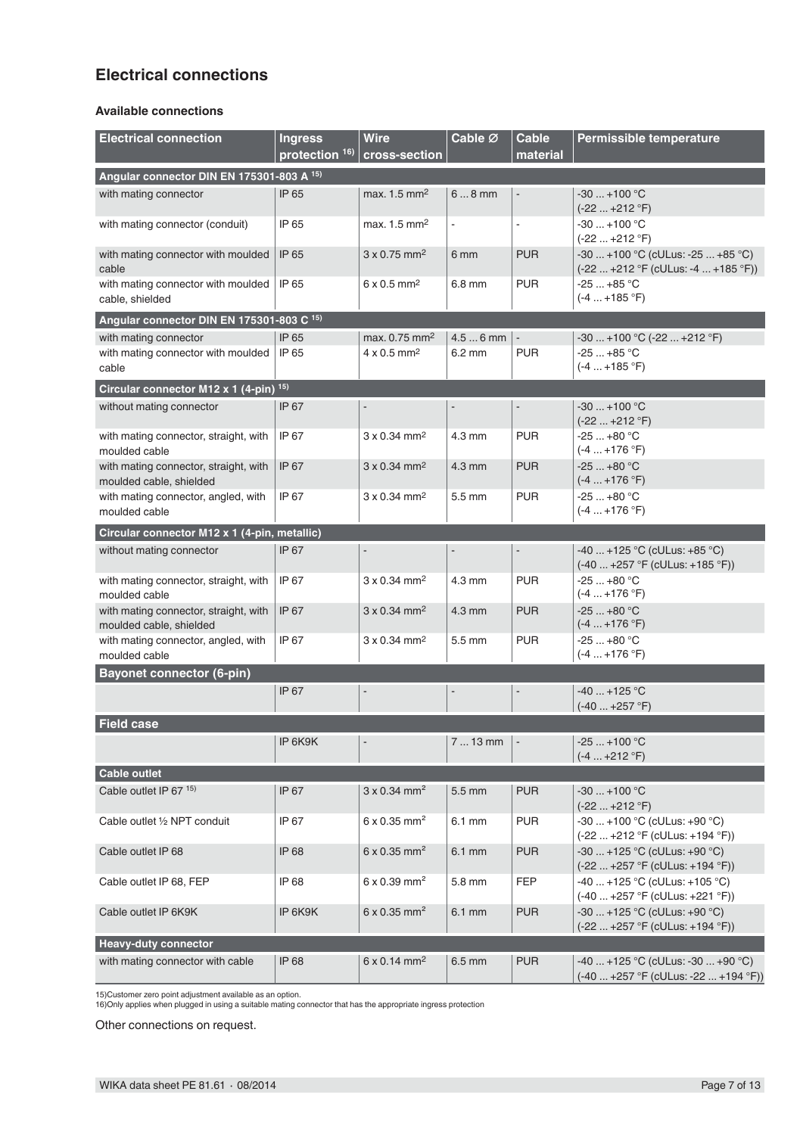### **Electrical connections**

### **Available connections**

| <b>Electrical connection</b>                                     | <b>Ingress</b><br>protection 16) | <b>Wire</b><br>cross-section    | Cable Ø          | <b>Cable</b><br>material | Permissible temperature                                                    |
|------------------------------------------------------------------|----------------------------------|---------------------------------|------------------|--------------------------|----------------------------------------------------------------------------|
| Angular connector DIN EN 175301-803 A 15)                        |                                  |                                 |                  |                          |                                                                            |
| with mating connector                                            | IP 65                            | max. $1.5$ mm <sup>2</sup>      | $68$ mm          | $\overline{\phantom{a}}$ | $-30+100 °C$<br>$(-22  +212 °F)$                                           |
| with mating connector (conduit)                                  | IP 65                            | max. 1.5 mm <sup>2</sup>        |                  |                          | $-30+100$ °C<br>$(-22  +212 °F)$                                           |
| with mating connector with moulded<br>cable                      | IP 65                            | $3 \times 0.75$ mm <sup>2</sup> | 6 mm             | <b>PUR</b>               | $-30+100$ °C (cULus: $-25+85$ °C)<br>(-22  +212 °F (cULus: -4  +185 °F))   |
| with mating connector with moulded<br>cable, shielded            | IP 65                            | $6 \times 0.5$ mm <sup>2</sup>  | $6.8$ mm         | <b>PUR</b>               | $-25+85$ °C<br>$(-4  +185 °F)$                                             |
| Angular connector DIN EN 175301-803 C 15)                        |                                  |                                 |                  |                          |                                                                            |
| with mating connector                                            | IP 65                            | max. $0.75$ mm <sup>2</sup>     | $4.56$ mm        | $\overline{\phantom{a}}$ | $-30+100$ °C ( $-22+212$ °F)                                               |
| with mating connector with moulded<br>cable                      | IP 65                            | $4 \times 0.5$ mm <sup>2</sup>  | $6.2 \text{ mm}$ | <b>PUR</b>               | $-25+85$ °C<br>$(-4  +185 °F)$                                             |
| Circular connector M12 x 1 (4-pin) 15)                           |                                  |                                 |                  |                          |                                                                            |
| without mating connector                                         | IP 67                            |                                 |                  |                          | $-30+100$ °C<br>$(-22  +212 °F)$                                           |
| with mating connector, straight, with<br>moulded cable           | IP 67                            | $3 \times 0.34$ mm <sup>2</sup> | $4.3 \text{ mm}$ | <b>PUR</b>               | $-25+80 °C$<br>$(-4  +176 °F)$                                             |
| with mating connector, straight, with<br>moulded cable, shielded | IP 67                            | $3 \times 0.34$ mm <sup>2</sup> | $4.3 \text{ mm}$ | <b>PUR</b>               | $-25+80 °C$<br>$(-4  +176 °F)$                                             |
| with mating connector, angled, with<br>moulded cable             | IP 67                            | $3 \times 0.34$ mm <sup>2</sup> | 5.5 mm           | <b>PUR</b>               | $-25+80 °C$<br>$(-4  +176 °F)$                                             |
| Circular connector M12 x 1 (4-pin, metallic)                     |                                  |                                 |                  |                          |                                                                            |
| without mating connector                                         | <b>IP 67</b>                     | $\overline{a}$                  | $\overline{a}$   | $\overline{\phantom{a}}$ | $-40$ +125 °C (cULus: +85 °C)<br>(-40  +257 °F (cULus: +185 °F))           |
| with mating connector, straight, with<br>moulded cable           | IP 67                            | $3 \times 0.34$ mm <sup>2</sup> | 4.3 mm           | <b>PUR</b>               | $-25+80 °C$<br>$(-4  +176 °F)$                                             |
| with mating connector, straight, with<br>moulded cable, shielded | IP 67                            | $3 \times 0.34$ mm <sup>2</sup> | 4.3 mm           | <b>PUR</b>               | $-25+80 °C$<br>$(-4  +176 °F)$                                             |
| with mating connector, angled, with<br>moulded cable             | IP 67                            | $3 \times 0.34$ mm <sup>2</sup> | 5.5 mm           | <b>PUR</b>               | $-25+80 °C$<br>$(-4  +176 °F)$                                             |
| <b>Bayonet connector (6-pin)</b>                                 |                                  |                                 |                  |                          |                                                                            |
|                                                                  | <b>IP 67</b>                     | $\overline{a}$                  |                  | $\overline{a}$           | $-40$ +125 °C<br>$(-40  +257 °F)$                                          |
| <b>Field case</b>                                                |                                  |                                 |                  |                          |                                                                            |
|                                                                  | IP 6K9K                          | $\blacksquare$                  | $713$ mm         | $\overline{\phantom{a}}$ | $-25+100$ °C<br>$(-4  +212 °F)$                                            |
| <b>Cable outlet</b>                                              |                                  |                                 |                  |                          |                                                                            |
| Cable outlet IP 67 15)                                           | IP 67                            | $3 \times 0.34$ mm <sup>2</sup> | 5.5 mm           | <b>PUR</b>               | $-30+100$ °C<br>$(-22  +212 °F)$                                           |
| Cable outlet 1/2 NPT conduit                                     | IP 67                            | $6 \times 0.35$ mm <sup>2</sup> | $6.1 \text{ mm}$ | <b>PUR</b>               | $-30+100$ °C (cULus: +90 °C)<br>(-22  +212 °F (cULus: +194 °F))            |
| Cable outlet IP 68                                               | IP 68                            | $6 \times 0.35$ mm <sup>2</sup> | 6.1 mm           | <b>PUR</b>               | $-30$ +125 °C (cULus: +90 °C)<br>(-22  +257 °F (cULus: +194 °F))           |
| Cable outlet IP 68, FEP                                          | IP 68                            | $6 \times 0.39$ mm <sup>2</sup> | 5.8 mm           | <b>FEP</b>               | $-40+125$ °C (cULus: +105 °C)<br>(-40  +257 °F (cULus: +221 °F))           |
| Cable outlet IP 6K9K                                             | IP 6K9K                          | $6 \times 0.35$ mm <sup>2</sup> | 6.1 mm           | <b>PUR</b>               | $-30$ +125 °C (cULus: +90 °C)<br>(-22  +257 °F (cULus: +194 °F))           |
| <b>Heavy-duty connector</b>                                      |                                  |                                 |                  |                          |                                                                            |
| with mating connector with cable                                 | IP 68                            | $6 \times 0.14$ mm <sup>2</sup> | 6.5 mm           | <b>PUR</b>               | $-40$ +125 °C (cULus: -30  +90 °C)<br>(-40  +257 °F (cULus: -22  +194 °F)) |

15)Customer zero point adjustment available as an option. 16)Only applies when plugged in using a suitable mating connector that has the appropriate ingress protection

Other connections on request.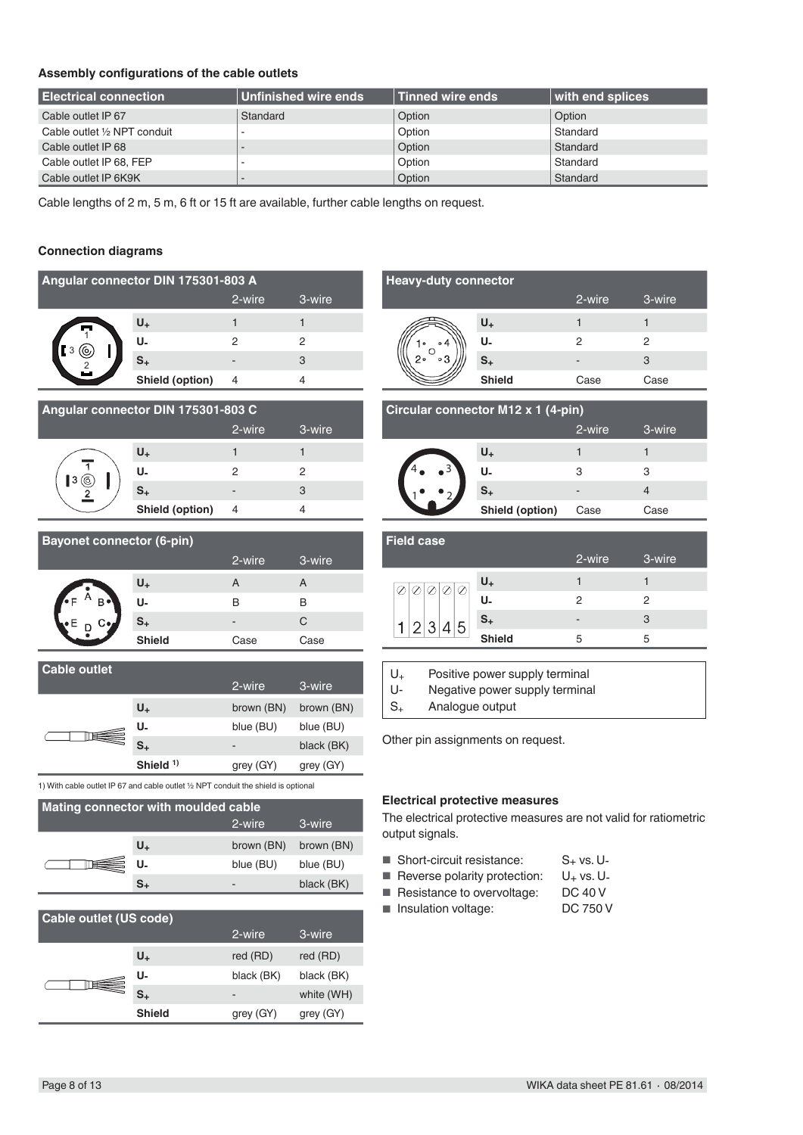### **Assembly configurations of the cable outlets**

| <b>Electrical connection</b> | Unfinished wire ends | <b>Tinned wire ends</b> | with end splices |
|------------------------------|----------------------|-------------------------|------------------|
| Cable outlet IP 67           | Standard             | Option                  | Option           |
| Cable outlet 1/2 NPT conduit | -                    | Option                  | Standard         |
| Cable outlet IP 68           | -                    | Option                  | Standard         |
| Cable outlet IP 68, FEP      |                      | Option                  | Standard         |
| Cable outlet IP 6K9K         |                      | Option                  | Standard         |

Cable lengths of 2 m, 5 m, 6 ft or 15 ft are available, further cable lengths on request.

### **Connection diagrams**

| Angular connector DIN 175301-803 A |                                    |        |                |  |
|------------------------------------|------------------------------------|--------|----------------|--|
|                                    |                                    | 2-wire | 3-wire         |  |
|                                    | $U_{+}$                            | 1      | 1              |  |
| [3                                 | U-                                 | 2      | 2              |  |
| ©                                  | $S_{+}$                            |        | 3              |  |
|                                    | Shield (option)                    | 4      | 4              |  |
|                                    |                                    |        |                |  |
|                                    |                                    |        |                |  |
|                                    | Angular connector DIN 175301-803 C |        |                |  |
|                                    |                                    | 2-wire | 3-wire         |  |
|                                    | $U_{+}$                            | 1      | 1              |  |
|                                    | U-                                 | 2      | $\overline{2}$ |  |
| 3<br>O,                            | $S_{+}$                            |        | 3              |  |
|                                    | Shield (option)                    | 4      | 4              |  |

| <b>Bayonet connector (6-pin)</b> |                |        |        |  |
|----------------------------------|----------------|--------|--------|--|
|                                  |                | 2-wire | 3-wire |  |
|                                  | U <sub>+</sub> | А      |        |  |
|                                  | U-             | в      | в      |  |
|                                  | $S_{+}$        | -      | C      |  |
|                                  | <b>Shield</b>  | Case   | Case   |  |

| <b>Cable outlet</b> |            |            |            |  |
|---------------------|------------|------------|------------|--|
|                     |            | 2-wire     | 3-wire     |  |
|                     | $U_{+}$    | brown (BN) | brown (BN) |  |
|                     | U-         | blue (BU)  | blue (BU)  |  |
|                     | S+         | -          | black (BK) |  |
|                     | Shield $1$ | grey (GY)  | grey (GY)  |  |

1) With cable outlet IP 67 and cable outlet ½ NPT conduit the shield is optional

| <b>Mating connector with moulded cable</b> |                |            |            |  |
|--------------------------------------------|----------------|------------|------------|--|
|                                            |                | 2-wire     | 3-wire     |  |
|                                            | $U_{+}$        | brown (BN) | brown (BN) |  |
|                                            | U-             | blue (BU)  | blue (BU)  |  |
|                                            | S <sub>+</sub> | -          | black (BK) |  |

| Cable outlet (US code) |               |                              |            |  |
|------------------------|---------------|------------------------------|------------|--|
|                        |               | 2-wire                       | 3-wire     |  |
|                        | $U_{+}$       | red (RD)                     | red (RD)   |  |
|                        | U-            | black (BK)                   | black (BK) |  |
|                        | S+            | $\qquad \qquad \blacksquare$ | white (WH) |  |
|                        | <b>Shield</b> | grey (GY)                    | grey (GY)  |  |

| <b>Heavy-duty connector</b> |               |        |        |  |
|-----------------------------|---------------|--------|--------|--|
|                             |               | 2-wire | 3-wire |  |
|                             | $U_{+}$       |        |        |  |
|                             | U-            | 2      | 2      |  |
| ۰3<br>ر و                   | $S_{+}$       |        | 3      |  |
|                             | <b>Shield</b> | Case   | Case   |  |

### **Circular connector M12 x 1 (4-pin)**

|                 | 2-wire | 3-wire |
|-----------------|--------|--------|
| U <sub>+</sub>  |        |        |
| U-              | 3      | 3      |
| $S_{+}$         | -      |        |
| Shield (option) | Case   | Case   |

| <b>Field case</b> |               |        |        |  |
|-------------------|---------------|--------|--------|--|
|                   |               | 2-wire | 3-wire |  |
|                   | $U_{+}$       |        |        |  |
|                   | U.            | 2      | 2      |  |
| ҕ<br>◠            | $S_{+}$       | -      | 3      |  |
|                   | <b>Shield</b> | 5      | 5      |  |

 $U_+$  Positive power supply terminal<br>U- Negative power supply terminal

U- Negative power supply terminal<br> $S_{+}$  Analogue output Analogue output

Other pin assignments on request.

### **Electrical protective measures**

The electrical protective measures are not valid for ratiometric output signals.

- Short-circuit resistance:  $S_+$  vs. U-
- 
- Reverse polarity protection:  $U_+$  vs. U-<br>■ Resistance to overvoltage: DC 40 V
- Resistance to overvoltage: DC 40 V<br>■ Insulation voltage: DC 750 V ■ Insulation voltage: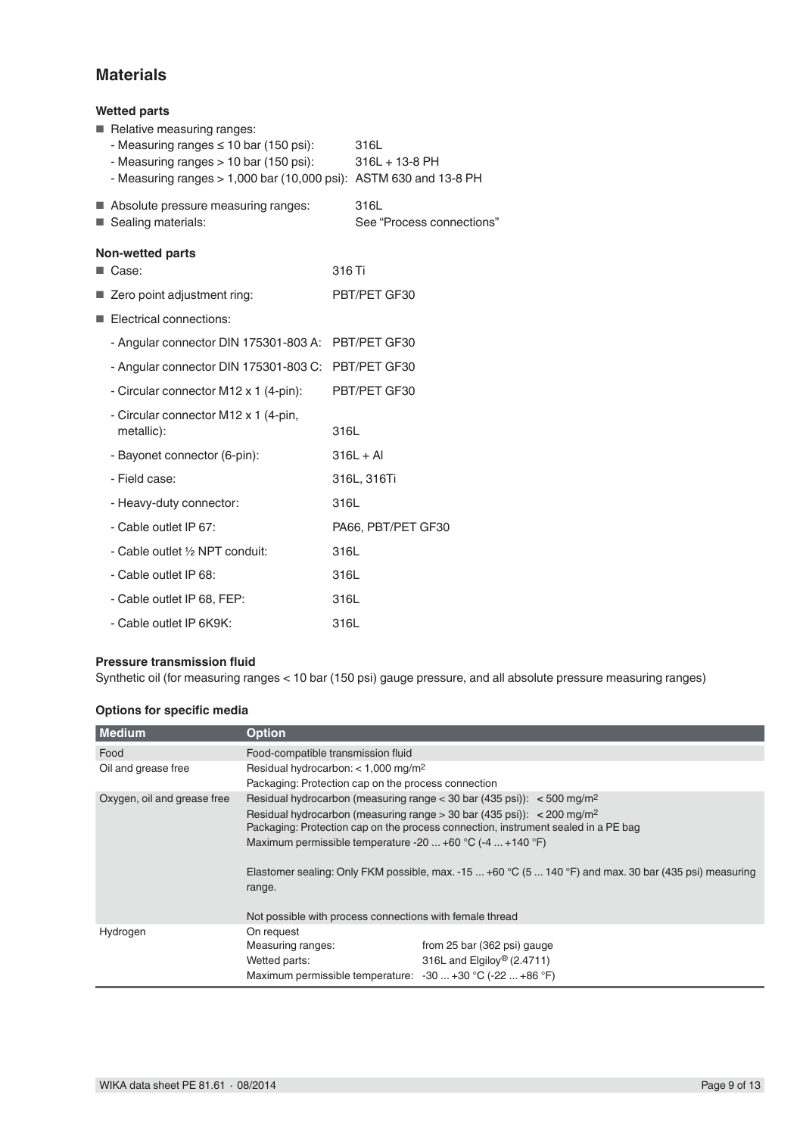### **Materials**

### **Wetted parts**

| Relative measuring ranges:<br>- Measuring ranges $\leq 10$ bar (150 psi):<br>- Measuring ranges > 10 bar (150 psi):<br>- Measuring ranges > 1,000 bar (10,000 psi): ASTM 630 and 13-8 PH |        | 316L<br>$316L + 13-8PH$           |
|------------------------------------------------------------------------------------------------------------------------------------------------------------------------------------------|--------|-----------------------------------|
| Absolute pressure measuring ranges:<br>Sealing materials:                                                                                                                                |        | 316L<br>See "Process connections" |
| <b>Non-wetted parts</b>                                                                                                                                                                  |        |                                   |
| ■ Case:                                                                                                                                                                                  | 316 Ti |                                   |
| ■ Zero point adjustment ring:                                                                                                                                                            |        | PBT/PET GF30                      |
| Electrical connections:                                                                                                                                                                  |        |                                   |
| - Angular connector DIN 175301-803 A: PBT/PET GF30                                                                                                                                       |        |                                   |
| - Angular connector DIN 175301-803 C: PBT/PET GF30                                                                                                                                       |        |                                   |
| - Circular connector M12 x 1 (4-pin):                                                                                                                                                    |        | PBT/PET GF30                      |
| - Circular connector M12 x 1 (4-pin,<br>metallic):                                                                                                                                       | 316L   |                                   |
| - Bayonet connector (6-pin):                                                                                                                                                             |        | $316L + Al$                       |
| - Field case:                                                                                                                                                                            |        | 316L, 316Ti                       |
| - Heavy-duty connector:                                                                                                                                                                  | 316L   |                                   |
| - Cable outlet IP 67:                                                                                                                                                                    |        | PA66, PBT/PET GF30                |
| - Cable outlet 1/2 NPT conduit:                                                                                                                                                          | 316L   |                                   |
| - Cable outlet IP 68:                                                                                                                                                                    | 316L   |                                   |
| - Cable outlet IP 68, FEP:                                                                                                                                                               | 316L   |                                   |
| - Cable outlet IP 6K9K:                                                                                                                                                                  | 316L   |                                   |

### **Pressure transmission fluid**

Synthetic oil (for measuring ranges < 10 bar (150 psi) gauge pressure, and all absolute pressure measuring ranges)

| Medium                      | <b>Option</b>                                                                                                                                                                                                                                                                                                                                                                                                                                       |                                                                       |  |
|-----------------------------|-----------------------------------------------------------------------------------------------------------------------------------------------------------------------------------------------------------------------------------------------------------------------------------------------------------------------------------------------------------------------------------------------------------------------------------------------------|-----------------------------------------------------------------------|--|
| Food                        | Food-compatible transmission fluid                                                                                                                                                                                                                                                                                                                                                                                                                  |                                                                       |  |
| Oil and grease free         | Residual hydrocarbon: $<$ 1,000 mg/m <sup>2</sup><br>Packaging: Protection cap on the process connection                                                                                                                                                                                                                                                                                                                                            |                                                                       |  |
| Oxygen, oil and grease free | Residual hydrocarbon (measuring range $<$ 30 bar (435 psi)): $<$ 500 mg/m <sup>2</sup><br>Residual hydrocarbon (measuring range > 30 bar (435 psi)): < 200 mg/m <sup>2</sup><br>Packaging: Protection cap on the process connection, instrument sealed in a PE bag<br>Maximum permissible temperature -20  +60 °C (-4  +140 °F)<br>Elastomer sealing: Only FKM possible, max. -15  +60 °C (5  140 °F) and max. 30 bar (435 psi) measuring<br>range. |                                                                       |  |
| Hydrogen                    | On request<br>Measuring ranges:<br>Wetted parts:<br>Maximum permissible temperature: $-30+30$ °C ( $-22+86$ °F)                                                                                                                                                                                                                                                                                                                                     | from 25 bar (362 psi) gauge<br>316L and Elgiloy <sup>®</sup> (2.4711) |  |

### **Options for specific media**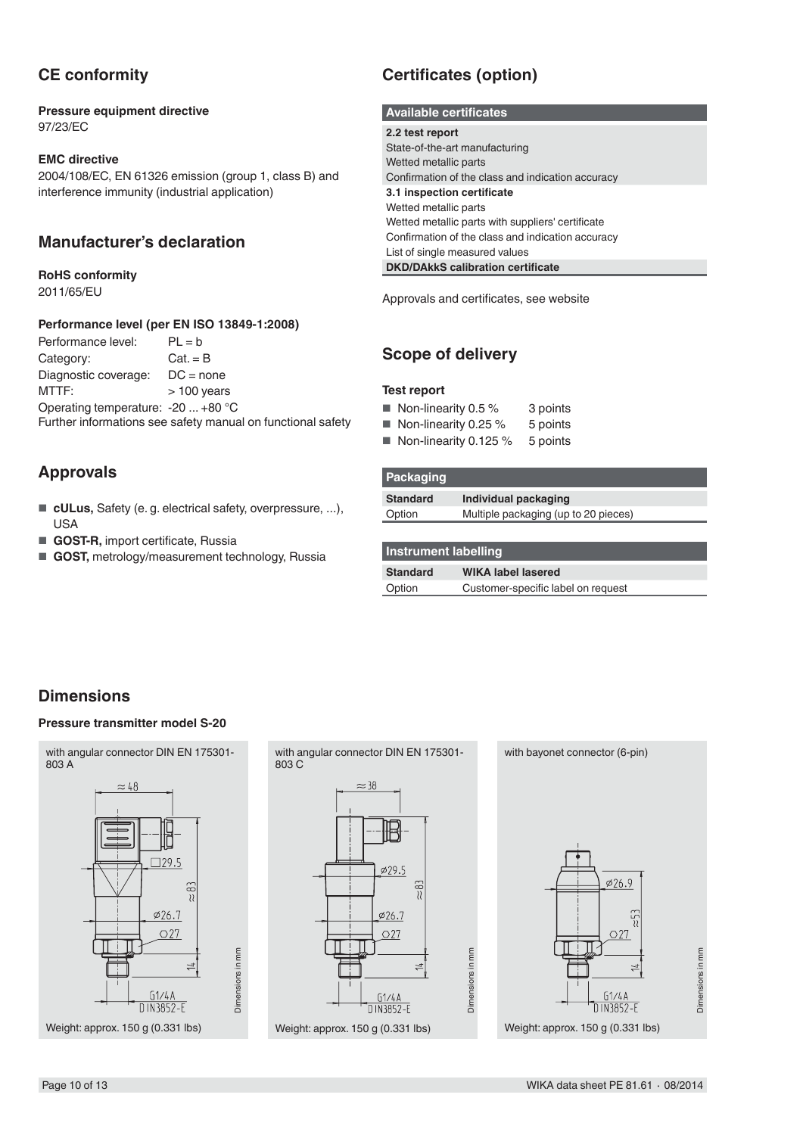## **CE conformity**

#### **Pressure equipment directive** 97/23/EC

### **EMC directive**

2004/108/EC, EN 61326 emission (group 1, class B) and interference immunity (industrial application)

### **Manufacturer's declaration**

### **RoHS conformity**

2011/65/EU

#### **Performance level (per EN ISO 13849-1:2008)**

Performance level: PL = b Category: Cat. = B Diagnostic coverage: DC = none<br>MTTF: > 100 years  $> 100$  years Operating temperature: -20 ... +80 °C Further informations see safety manual on functional safety

### **Approvals**

- **cULus**, Safety (e. g. electrical safety, overpressure, ...), USA
- **GOST-R**, import certificate, Russia
- **GOST**, metrology/measurement technology, Russia

# **Certificates (option)**

#### **Available certificates**

**2.2 test report** State-of-the-art manufacturing Wetted metallic parts Confirmation of the class and indication accuracy **3.1 inspection certificate** Wetted metallic parts Wetted metallic parts with suppliers' certificate Confirmation of the class and indication accuracy List of single measured values **DKD/DAkkS calibration certificate**

Approvals and certificates, see website

### **Scope of delivery**

### **Test report**

| Non-linearity 0.5 $%$ | 3 points |
|-----------------------|----------|
| Non-linearity 0.25 %  | 5 points |

■ Non-linearity 0.125 % 5 points

| <b>Packaging</b> |                                      |
|------------------|--------------------------------------|
| <b>Standard</b>  | Individual packaging                 |
| Option           | Multiple packaging (up to 20 pieces) |
|                  |                                      |

| Instrument labelling |                                    |  |  |
|----------------------|------------------------------------|--|--|
| <b>Standard</b>      | <b>WIKA label lasered</b>          |  |  |
| Option               | Customer-specific label on request |  |  |

### **Dimensions**

#### **Pressure transmitter model S-20**



with angular connector DIN EN 175301- with bayonet connector (6-pin) 803 C  $\overline{36}$  $\varphi$ 29.5  $rac{2}{\pi}$  $\varphi$ 26.7  $O27$ 

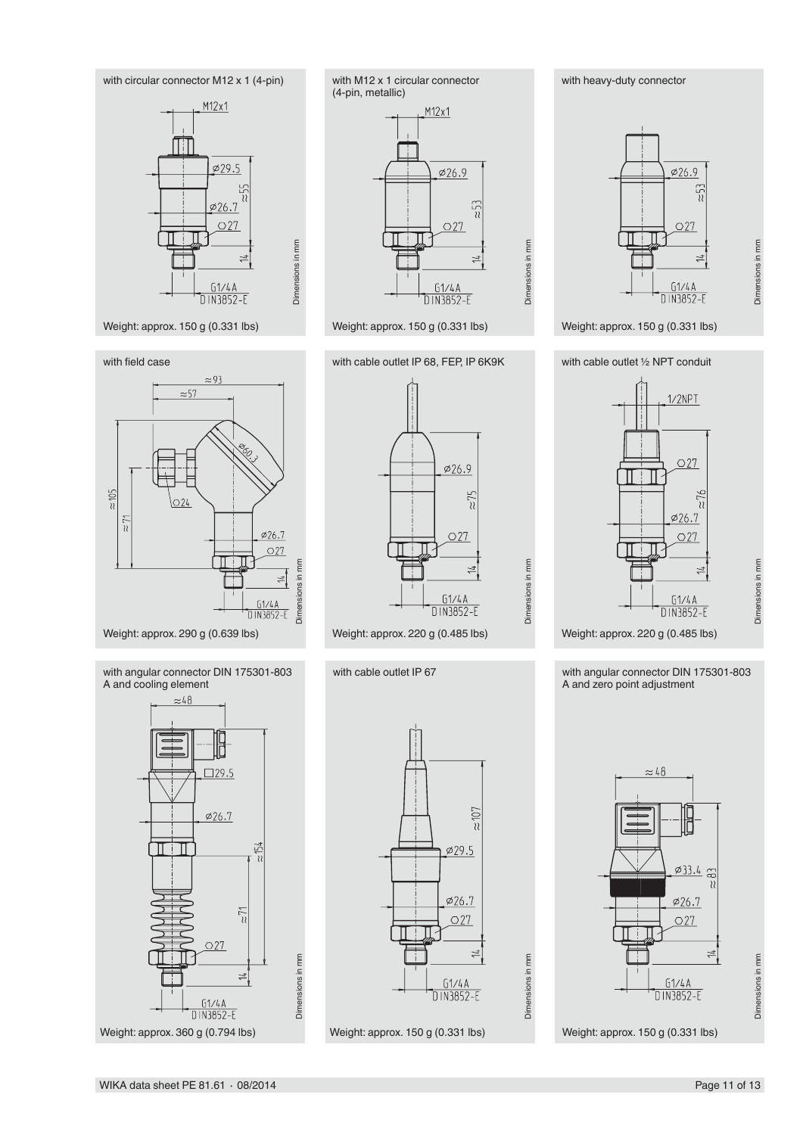#### WIKA data sheet PE 81.61 ⋅ 08/2014 Page 11 of 13



Weight: approx. 290 g (0.639 lbs)

Dimensions in mm



Weight: approx. 150 g (0.331 lbs)





Weight: approx. 150 g (0.331 lbs)

with cable outlet IP 68, FEP, IP 6K9K



Dimensions in mm

Dimensions in mm

with cable outlet IP 67



with heavy-duty connector



Dimensions in mm Dimensions in mm

Dimensions in mm

Dimensions in mm

Weight: approx. 150 g (0.331 lbs)

with cable outlet ½ NPT conduit



with angular connector DIN 175301-803

A and zero point adjustment



Dimensions in mm

Dimensions in mm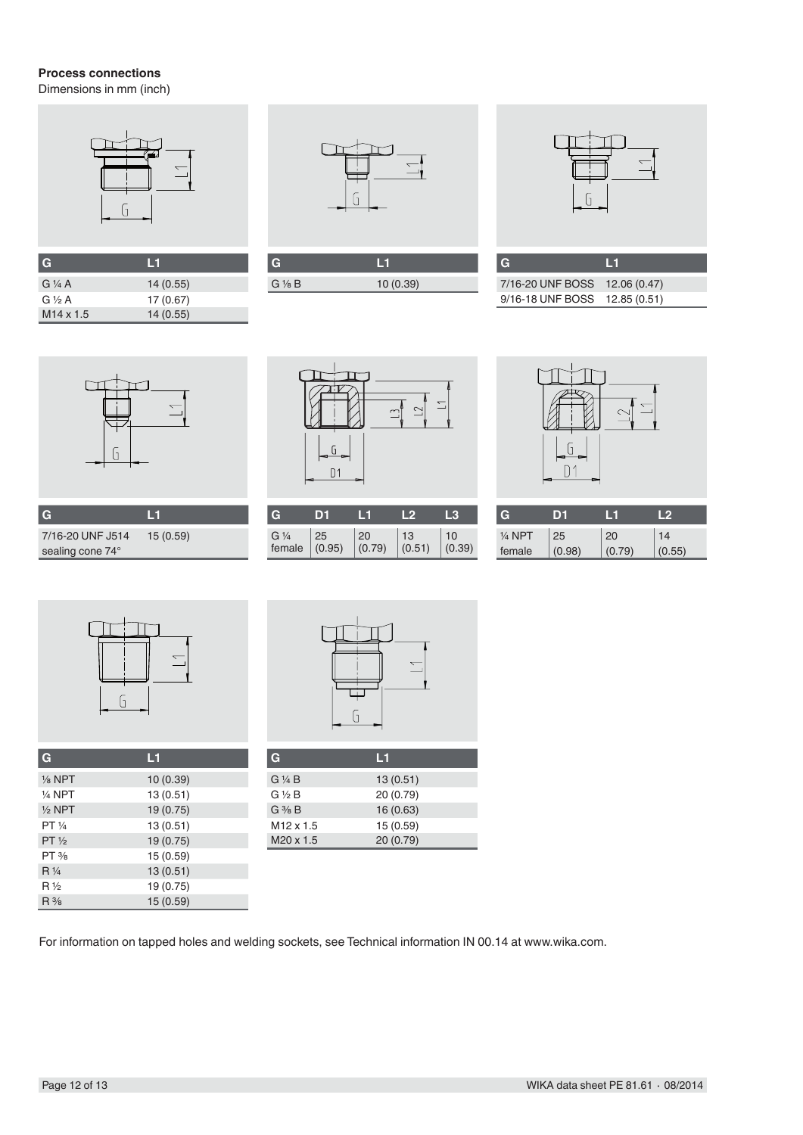### **Process connections**

Dimensions in mm (inch)



| G                  | LИ        |
|--------------------|-----------|
| $G\mathcal{V}_4$ A | 14(0.55)  |
| $G \nrightarrow A$ | 17 (0.67) |
| $M14 \times 1.5$   | 14(0.55)  |



| G       |          |
|---------|----------|
| G 1/8 B | 10(0.39) |
|         |          |



| $\cdots$ = $\cdots$ = $\cdots$ $\cdots$ $\cdots$ $\cdots$ $\cdots$ |  |
|--------------------------------------------------------------------|--|
| 9/16-18 UNF BOSS 12.85 (0.51)                                      |  |
|                                                                    |  |



| l G              | Шí       |
|------------------|----------|
| 7/16-20 UNF J514 | 15(0.59) |
| sealing cone 74° |          |



| G                | DН     | шu     | l 2    | æ.     |
|------------------|--------|--------|--------|--------|
| G <sub>1/4</sub> | 25     | 20     | 13     | 10     |
| female           | (0.95) | (0.79) | (0.51) | (0.39) |



| a         | DЕ     |        | D      |
|-----------|--------|--------|--------|
| $1/4$ NPT | 25     | 20     | 14     |
| female    | (0.98) | (0.79) | (0.55) |



| G                   | L1        |
|---------------------|-----------|
| $\frac{1}{8}$ NPT   | 10(0.39)  |
| 1/ <sub>4</sub> NPT | 13(0.51)  |
| $1/2$ NPT           | 19 (0.75) |
| PT 1/4              | 13(0.51)  |
| $PT \frac{1}{2}$    | 19 (0.75) |
| $PT\frac{3}{8}$     | 15 (0.59) |
| $R\frac{1}{4}$      | 13(0.51)  |
| $R\frac{1}{2}$      | 19 (0.75) |
| $R\frac{3}{8}$      | 15(0.59)  |



| K         |  |
|-----------|--|
| 13(0.51)  |  |
| 20 (0.79) |  |
| 16(0.63)  |  |
| 15(0.59)  |  |
| 20 (0.79) |  |
|           |  |

For information on tapped holes and welding sockets, see Technical information IN 00.14 at www.wika.com.